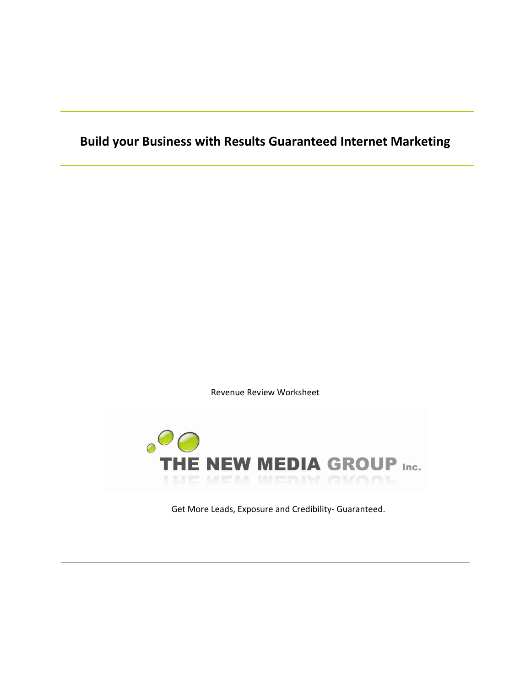# **Build your Business with Results Guaranteed Internet Marketing**

Revenue Review Worksheet



Get More Leads, Exposure and Credibility- Guaranteed.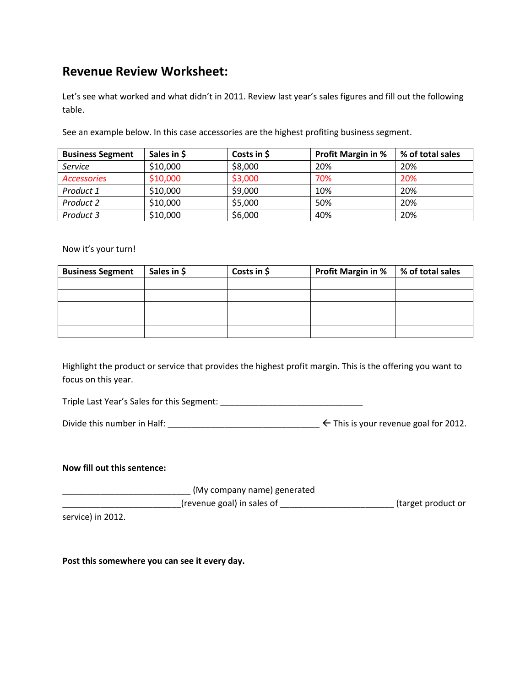## **Revenue Review Worksheet:**

Let's see what worked and what didn't in 2011. Review last year's sales figures and fill out the following table.

See an example below. In this case accessories are the highest profiting business segment.

| <b>Business Segment</b> | Sales in \$ | Costs in \$ | <b>Profit Margin in %</b> | % of total sales |
|-------------------------|-------------|-------------|---------------------------|------------------|
| Service                 | \$10,000    | \$8,000     | 20%                       | 20%              |
| <b>Accessories</b>      | \$10,000    | \$3,000     | 70%                       | 20%              |
| Product 1               | \$10,000    | \$9,000     | 10%                       | 20%              |
| Product 2               | \$10,000    | \$5,000     | 50%                       | 20%              |
| Product 3               | \$10,000    | \$6,000     | 40%                       | 20%              |

#### Now it's your turn!

| <b>Business Segment</b> | Sales in \$ | Costs in \$ | <b>Profit Margin in %</b> | % of total sales |
|-------------------------|-------------|-------------|---------------------------|------------------|
|                         |             |             |                           |                  |
|                         |             |             |                           |                  |
|                         |             |             |                           |                  |
|                         |             |             |                           |                  |
|                         |             |             |                           |                  |

Highlight the product or service that provides the highest profit margin. This is the offering you want to focus on this year.

Triple Last Year's Sales for this Segment: \_\_\_\_\_\_\_\_\_\_\_\_\_\_\_\_\_\_\_\_\_\_\_\_\_\_\_\_\_\_

| Divide this number in Half: |  |  |  |  | $\leq$ This is your revenue goal for 2012. |  |  |  |  |  |
|-----------------------------|--|--|--|--|--------------------------------------------|--|--|--|--|--|
|-----------------------------|--|--|--|--|--------------------------------------------|--|--|--|--|--|

#### **Now fill out this sentence:**

\_\_\_\_\_\_\_\_\_\_\_\_\_\_\_\_\_\_\_\_\_\_\_\_\_\_\_ (My company name) generated

\_\_\_\_\_\_\_\_\_\_\_\_\_\_\_\_\_\_\_\_\_\_\_\_\_(revenue goal) in sales of \_\_\_\_\_\_\_\_\_\_\_\_\_\_\_\_\_\_\_\_\_\_\_\_ (target product or

service) in 2012.

**Post this somewhere you can see it every day.**